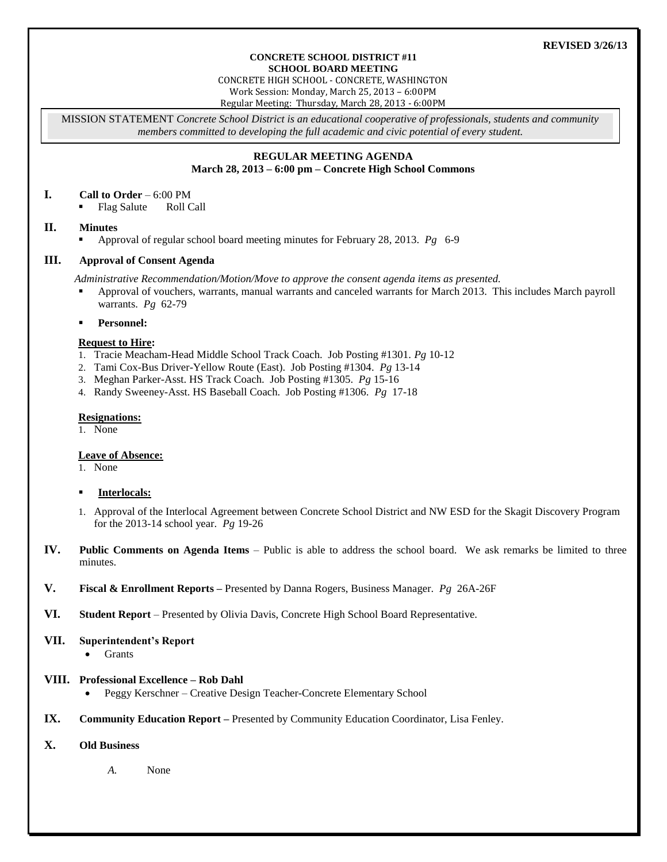## **REVISED 3/26/13**

#### **CONCRETE SCHOOL DISTRICT #11 SCHOOL BOARD MEETING**

CONCRETE HIGH SCHOOL - CONCRETE, WASHINGTON

Work Session: Monday, March 25, 2013 – 6:00PM

Regular Meeting: Thursday, March 28, 2013 - 6:00PM

MISSION STATEMENT *Concrete School District is an educational cooperative of professionals, students and community members committed to developing the full academic and civic potential of every student.*

## **REGULAR MEETING AGENDA March 28, 2013 – 6:00 pm – Concrete High School Commons**

### **I. Call to Order** – 6:00 PM

Flag Salute Roll Call

# **II. Minutes**

Approval of regular school board meeting minutes for February 28, 2013. *Pg* 6-9

# **III. Approval of Consent Agenda**

*Administrative Recommendation/Motion/Move to approve the consent agenda items as presented.*

 Approval of vouchers, warrants, manual warrants and canceled warrants for March 2013. This includes March payroll warrants. *Pg* 62-79

### **Personnel:**

## **Request to Hire:**

- 1. Tracie Meacham-Head Middle School Track Coach. Job Posting #1301. *Pg* 10-12
- 2. Tami Cox-Bus Driver-Yellow Route (East). Job Posting #1304. *Pg* 13-14
- 3. Meghan Parker*-*Asst. HS Track Coach. Job Posting #1305. *Pg* 15-16
- 4. Randy Sweeney*-*Asst. HS Baseball Coach. Job Posting #1306. *Pg* 17-18

## **Resignations:**

1. None

# **Leave of Absence:**

1. None

- **Interlocals:**
- 1. Approval of the Interlocal Agreement between Concrete School District and NW ESD for the Skagit Discovery Program for the 2013-14 school year. *Pg* 19-26
- **IV. Public Comments on Agenda Items** Public is able to address the school board. We ask remarks be limited to three minutes.
- **V. Fiscal & Enrollment Reports –** Presented by Danna Rogers, Business Manager. *Pg* 26A-26F
- **VI. Student Report** Presented by Olivia Davis, Concrete High School Board Representative.

### **VII. Superintendent's Report**

• Grants

# **VIII. Professional Excellence – Rob Dahl**

- Peggy Kerschner Creative Design Teacher-Concrete Elementary School
- **IX. Community Education Report –** Presented by Community Education Coordinator, Lisa Fenley.
- **X. Old Business**

*A.* None